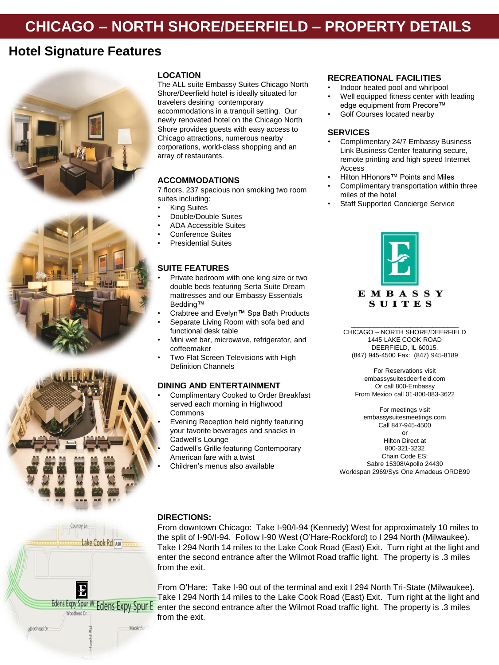# **CHICAGO – NORTH SHORE/DEERFIELD – PROPERTY DETAILS**

# **Hotel Signature Features**





Country Lo

Noodhead Dr.

Lake Cook Rd Aso

MarArthu



The ALL suite Embassy Suites Chicago North Shore/Deerfield hotel is ideally situated for travelers desiring contemporary accommodations in a tranquil setting. Our newly renovated hotel on the Chicago North Shore provides guests with easy access to Chicago attractions, numerous nearby corporations, world-class shopping and an array of restaurants.

## **ACCOMMODATIONS**

7 floors, 237 spacious non smoking two room suites including:

- **King Suites**
- Double/Double Suites
- ADA Accessible Suites
- Conference Suites
- Presidential Suites

# **SUITE FEATURES**

- Private bedroom with one king size or two double beds featuring Serta Suite Dream mattresses and our Embassy Essentials Bedding™
- Crabtree and Evelyn™ Spa Bath Products
- Separate Living Room with sofa bed and functional desk table
- Mini wet bar, microwave, refrigerator, and coffeemaker
- Two Flat Screen Televisions with High Definition Channels

#### **DINING AND ENTERTAINMENT**

- Complimentary Cooked to Order Breakfast served each morning in Highwood Commons
- Evening Reception held nightly featuring your favorite beverages and snacks in Cadwell's Lounge
- Cadwell's Grille featuring Contemporary American fare with a twist
- Children's menus also available

#### **RECREATIONAL FACILITIES**

- Indoor heated pool and whirlpool
- Well equipped fitness center with leading edge equipment from Precore™
- Golf Courses located nearby

### **SERVICES**

- Complimentary 24/7 Embassy Business Link Business Center featuring secure, remote printing and high speed Internet Access
- Hilton HHonors™ Points and Miles
- Complimentary transportation within three miles of the hotel
- Staff Supported Concierge Service



CHICAGO – NORTH SHORE/DEERFIELD 1445 LAKE COOK ROAD DEERFIELD, IL 60015. (847) 945-4500 Fax: (847) 945-8189

\_\_\_\_\_\_\_\_\_\_\_\_\_\_\_\_\_\_\_\_\_\_\_\_\_\_\_\_\_

For Reservations visit embassysuitesdeerfield.com Or call 800-Embassy From Mexico call 01-800-083-3622

For meetings visit embassysuitesmeetings.com Call 847-945-4500 or

Hilton Direct at 800-321-3232 Chain Code ES: Sabre 15308/Apollo 24430 Worldspan 2969/Sys One Amadeus ORDB99

### **DIRECTIONS:**

From downtown Chicago: Take I-90/I-94 (Kennedy) West for approximately 10 miles to the split of I-90/I-94. Follow I-90 West (O'Hare-Rockford) to I 294 North (Milwaukee). Take I 294 North 14 miles to the Lake Cook Road (East) Exit. Turn right at the light and enter the second entrance after the Wilmot Road traffic light. The property is .3 miles from the exit.

From O'Hare: Take I-90 out of the terminal and exit I 294 North Tri-State (Milwaukee). Take I 294 North 14 miles to the Lake Cook Road (East) Exit. Turn right at the light and Edens Expy Spur W Edens Expy Spur E enter the second entrance after the Wilmot Road traffic light. The property is .3 miles from the exit.